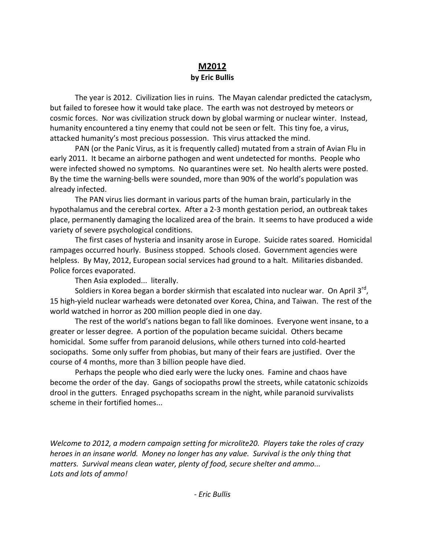# **M2012 by Eric Bullis**

The year is 2012. Civilization lies in ruins. The Mayan calendar predicted the cataclysm, but failed to foresee how it would take place. The earth was not destroyed by meteors or cosmic forces. Nor was civilization struck down by global warming or nuclear winter. Instead, humanity encountered a tiny enemy that could not be seen or felt. This tiny foe, a virus, attacked humanity's most precious possession. This virus attacked the mind.

PAN (or the Panic Virus, as it is frequently called) mutated from a strain of Avian Flu in early 2011. It became an airborne pathogen and went undetected for months. People who were infected showed no symptoms. No quarantines were set. No health alerts were posted. By the time the warning‐bells were sounded, more than 90% of the world's population was already infected.

The PAN virus lies dormant in various parts of the human brain, particularly in the hypothalamus and the cerebral cortex. After a 2‐3 month gestation period, an outbreak takes place, permanently damaging the localized area of the brain. It seems to have produced a wide variety of severe psychological conditions.

The first cases of hysteria and insanity arose in Europe. Suicide rates soared. Homicidal rampages occurred hourly. Business stopped. Schools closed. Government agencies were helpless. By May, 2012, European social services had ground to a halt. Militaries disbanded. Police forces evaporated.

Then Asia exploded... literally.

Soldiers in Korea began a border skirmish that escalated into nuclear war. On April 3rd, 15 high‐yield nuclear warheads were detonated over Korea, China, and Taiwan. The rest of the world watched in horror as 200 million people died in one day.

The rest of the world's nations began to fall like dominoes. Everyone went insane, to a greater or lesser degree. A portion of the population became suicidal. Others became homicidal. Some suffer from paranoid delusions, while others turned into cold‐hearted sociopaths. Some only suffer from phobias, but many of their fears are justified. Over the course of 4 months, more than 3 billion people have died.

Perhaps the people who died early were the lucky ones. Famine and chaos have become the order of the day. Gangs of sociopaths prowl the streets, while catatonic schizoids drool in the gutters. Enraged psychopaths scream in the night, while paranoid survivalists scheme in their fortified homes...

*Welcome to 2012, a modern campaign setting for microlite20. Players take the roles of crazy heroes in an insane world. Money no longer has any value. Survival is the only thing that matters. Survival means clean water, plenty of food, secure shelter and ammo... Lots and lots of ammo!*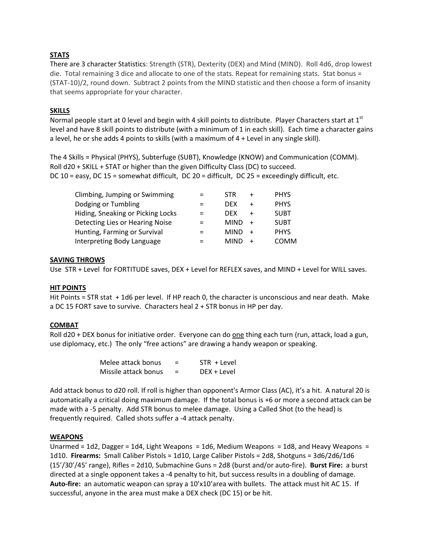# **STATS**

There are 3 character Statistics: Strength (STR), Dexterity (DEX) and Mind (MIND). Roll 4d6, drop lowest die. Total remaining 3 dice and allocate to one of the stats. Repeat for remaining stats. Stat bonus = (STAT‐10)/2, round down. Subtract 2 points from the MIND statistic and then choose a form of insanity that seems appropriate for your character.

## **SKILLS**

Normal people start at 0 level and begin with 4 skill points to distribute. Player Characters start at  $1<sup>st</sup>$ level and have 8 skill points to distribute (with a minimum of 1 in each skill). Each time a character gains a level, he or she adds 4 points to skills (with a maximum of 4 + Level in any single skill).

The 4 Skills = Physical (PHYS), Subterfuge (SUBT), Knowledge (KNOW) and Communication (COMM). Roll d20 + SKILL + STAT or higher than the given Difficulty Class (DC) to succeed. DC 10 = easy, DC 15 = somewhat difficult, DC 20 = difficult, DC 25 = exceedingly difficult, etc.

| Climbing, Jumping or Swimming     | $=$      | <b>STR</b>  | <b>PHYS</b> |
|-----------------------------------|----------|-------------|-------------|
| Dodging or Tumbling               | $=$      | <b>DEX</b>  | <b>PHYS</b> |
| Hiding, Sneaking or Picking Locks | $=$      | <b>DFX</b>  | <b>SUBT</b> |
| Detecting Lies or Hearing Noise   | $\equiv$ | <b>MIND</b> | <b>SURT</b> |
| Hunting, Farming or Survival      | $=$      | <b>MIND</b> | <b>PHYS</b> |
| Interpreting Body Language        |          | <b>MIND</b> | <b>COMM</b> |

#### **SAVING THROWS**

Use STR + Level for FORTITUDE saves, DEX + Level for REFLEX saves, and MIND + Level for WILL saves.

#### **HIT POINTS**

Hit Points = STR stat + 1d6 per level. If HP reach 0, the character is unconscious and near death. Make a DC 15 FORT save to survive. Characters heal 2 + STR bonus in HP per day.

#### **COMBAT**

Roll d20 + DEX bonus for initiative order. Everyone can do one thing each turn (run, attack, load a gun, use diplomacy, etc.) The only "free actions" are drawing a handy weapon or speaking.

| Melee attack bonus   | $STR + Level$ |
|----------------------|---------------|
| Missile attack bonus | DEX + Level   |

Add attack bonus to d20 roll. If roll is higher than opponent's Armor Class (AC), it's a hit. A natural 20 is automatically a critical doing maximum damage. If the total bonus is +6 or more a second attack can be made with a ‐5 penalty. Add STR bonus to melee damage. Using a Called Shot (to the head) is frequently required. Called shots suffer a ‐4 attack penalty.

#### **WEAPONS**

Unarmed = 1d2, Dagger = 1d4, Light Weapons = 1d6, Medium Weapons = 1d8, and Heavy Weapons = 1d10. **Firearms:** Small Caliber Pistols = 1d10, Large Caliber Pistols = 2d8, Shotguns = 3d6/2d6/1d6 (15'/30'/45' range), Rifles = 2d10, Submachine Guns = 2d8 (burst and/or auto‐fire). **Burst Fire:** a burst directed at a single opponent takes a ‐4 penalty to hit, but success results in a doubling of damage. **Auto‐fire:** an automatic weapon can spray a 10'x10'area with bullets. The attack must hit AC 15. If successful, anyone in the area must make a DEX check (DC 15) or be hit.